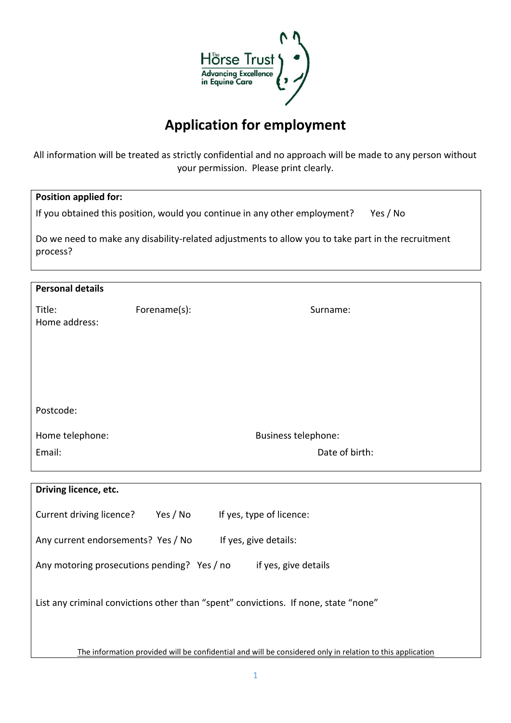

## **Application for employment**

All information will be treated as strictly confidential and no approach will be made to any person without your permission. Please print clearly.

| <b>Position applied for:</b>                                                                                   |              |                            |  |  |  |  |
|----------------------------------------------------------------------------------------------------------------|--------------|----------------------------|--|--|--|--|
| If you obtained this position, would you continue in any other employment?<br>Yes / No                         |              |                            |  |  |  |  |
| Do we need to make any disability-related adjustments to allow you to take part in the recruitment<br>process? |              |                            |  |  |  |  |
| <b>Personal details</b>                                                                                        |              |                            |  |  |  |  |
| Title:<br>Home address:                                                                                        | Forename(s): | Surname:                   |  |  |  |  |
|                                                                                                                |              |                            |  |  |  |  |
|                                                                                                                |              |                            |  |  |  |  |
| Postcode:                                                                                                      |              |                            |  |  |  |  |
| Home telephone:                                                                                                |              | <b>Business telephone:</b> |  |  |  |  |
| Email:                                                                                                         |              | Date of birth:             |  |  |  |  |
|                                                                                                                |              |                            |  |  |  |  |
| Driving licence, etc.                                                                                          |              |                            |  |  |  |  |
| Current driving licence?                                                                                       | Yes / No     | If yes, type of licence:   |  |  |  |  |

| Current driving licence?                                                            | YES / INO | If yes, type of licence:                                                                                  |  |  |  |
|-------------------------------------------------------------------------------------|-----------|-----------------------------------------------------------------------------------------------------------|--|--|--|
| Any current endorsements? Yes / No                                                  |           | If yes, give details:                                                                                     |  |  |  |
| Any motoring prosecutions pending? Yes / no<br>if yes, give details                 |           |                                                                                                           |  |  |  |
| List any criminal convictions other than "spent" convictions. If none, state "none" |           |                                                                                                           |  |  |  |
|                                                                                     |           | The information provided will be confidential and will be considered only in relation to this application |  |  |  |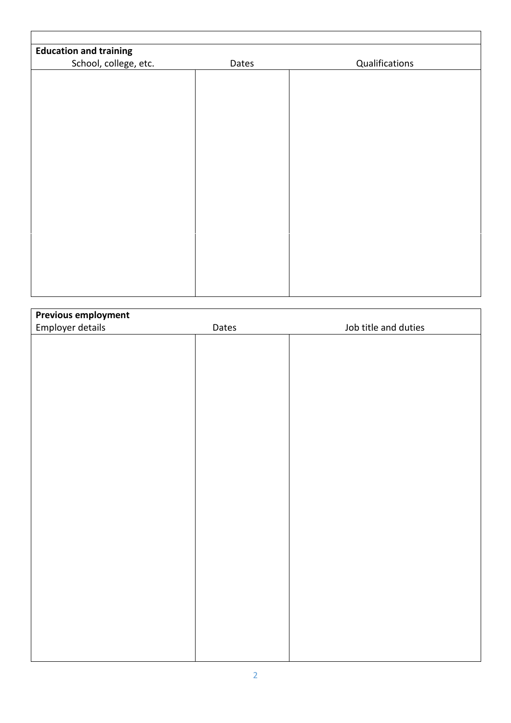| <b>Education and training</b> |       |                |
|-------------------------------|-------|----------------|
| School, college, etc.         | Dates | Qualifications |
|                               |       |                |
|                               |       |                |
|                               |       |                |
|                               |       |                |
|                               |       |                |
|                               |       |                |
|                               |       |                |
|                               |       |                |
|                               |       |                |
|                               |       |                |
|                               |       |                |
|                               |       |                |
|                               |       |                |
|                               |       |                |
|                               |       |                |
|                               |       |                |
|                               |       |                |
|                               |       |                |
|                               |       |                |

| <b>Previous employment</b> |       |                      |
|----------------------------|-------|----------------------|
| Employer details           | Dates | Job title and duties |
|                            |       |                      |
|                            |       |                      |
|                            |       |                      |
|                            |       |                      |
|                            |       |                      |
|                            |       |                      |
|                            |       |                      |
|                            |       |                      |
|                            |       |                      |
|                            |       |                      |
|                            |       |                      |
|                            |       |                      |
|                            |       |                      |
|                            |       |                      |
|                            |       |                      |
|                            |       |                      |
|                            |       |                      |
|                            |       |                      |
|                            |       |                      |
|                            |       |                      |
|                            |       |                      |
|                            |       |                      |
|                            |       |                      |
|                            |       |                      |
|                            |       |                      |
|                            |       |                      |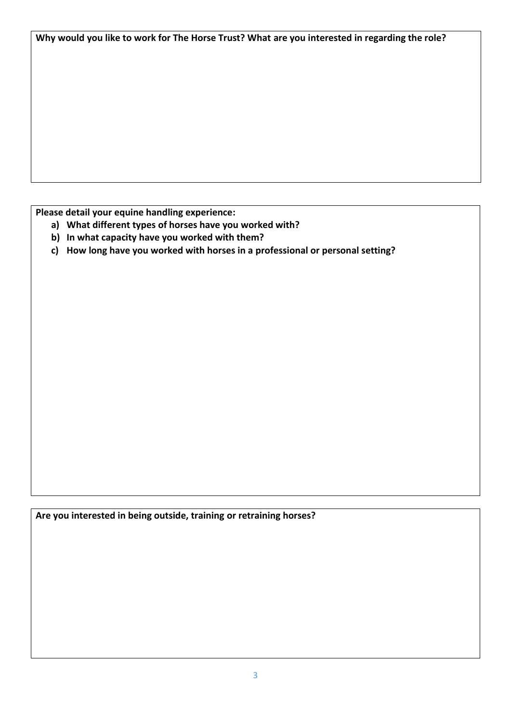**Why would you like to work for The Horse Trust? What are you interested in regarding the role?**

**Please detail your equine handling experience:**

- **a) What different types of horses have you worked with?**
- **b) In what capacity have you worked with them?**
- **c) How long have you worked with horses in a professional or personal setting?**

**Are you interested in being outside, training or retraining horses?**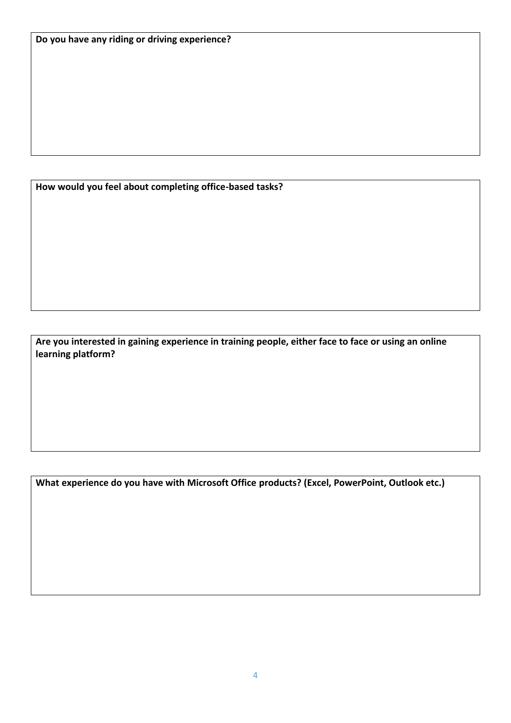**How would you feel about completing office-based tasks?**

**Are you interested in gaining experience in training people, either face to face or using an online learning platform?**

**What experience do you have with Microsoft Office products? (Excel, PowerPoint, Outlook etc.)**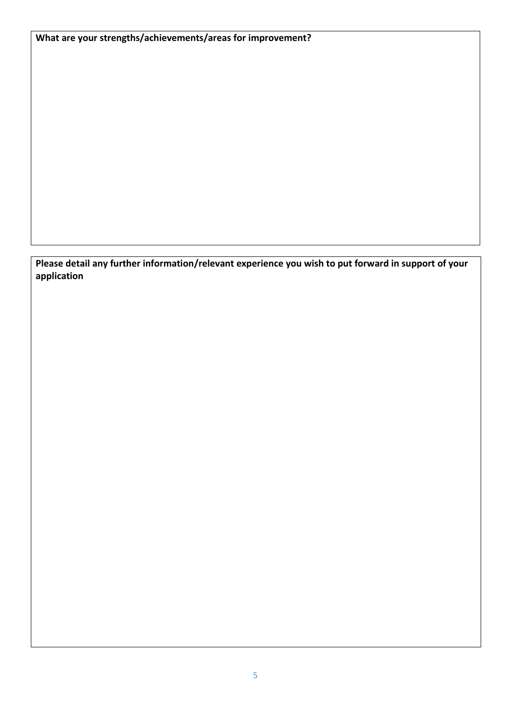**What are your strengths/achievements/areas for improvement?**

**Please detail any further information/relevant experience you wish to put forward in support of your application**